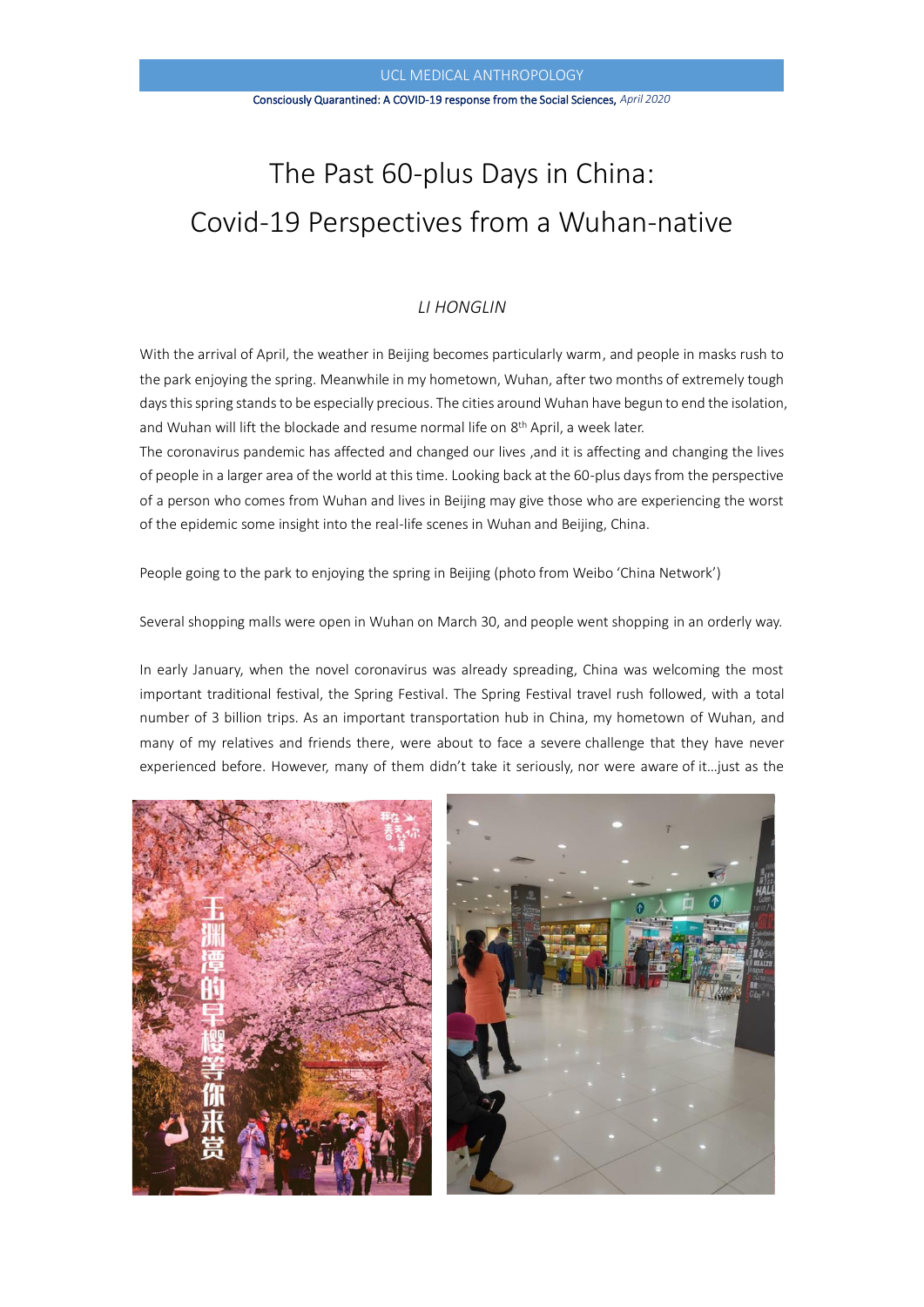#### Consciously Quarantined: A COVID-19 response from the Social Sciences, *April 2020*

# The Past 60-plus Days in China: Covid-19 Perspectives from a Wuhan-native

# *LI HONGLIN*

With the arrival of April, the weather in Beijing becomes particularly warm, and people in masks rush to the park enjoying the spring. Meanwhile in my hometown, Wuhan, after two months of extremely tough days this spring stands to be especially precious. The cities around Wuhan have begun to end the isolation, and Wuhan will lift the blockade and resume normal life on 8<sup>th</sup> April, a week later.

The coronavirus pandemic has affected and changed our lives ,and it is affecting and changing the lives of people in a larger area of the world at this time. Looking back at the 60-plus days from the perspective of a person who comes from Wuhan and lives in Beijing may give those who are experiencing the worst of the epidemic some insight into the real-life scenes in Wuhan and Beijing, China.

People going to the park to enjoying the spring in Beijing (photo from Weibo 'China Network')

Several shopping malls were open in Wuhan on March 30, and people went shopping in an orderly way.

In early January, when the novel coronavirus was already spreading, China was welcoming the most important traditional festival, the Spring Festival. The Spring Festival travel rush followed, with a total number of 3 billion trips. As an important transportation hub in China, my hometown of Wuhan, and many of my relatives and friends there, were about to face a severe challenge that they have never experienced before. However, many of them didn't take it seriously, nor were aware of it…just as the

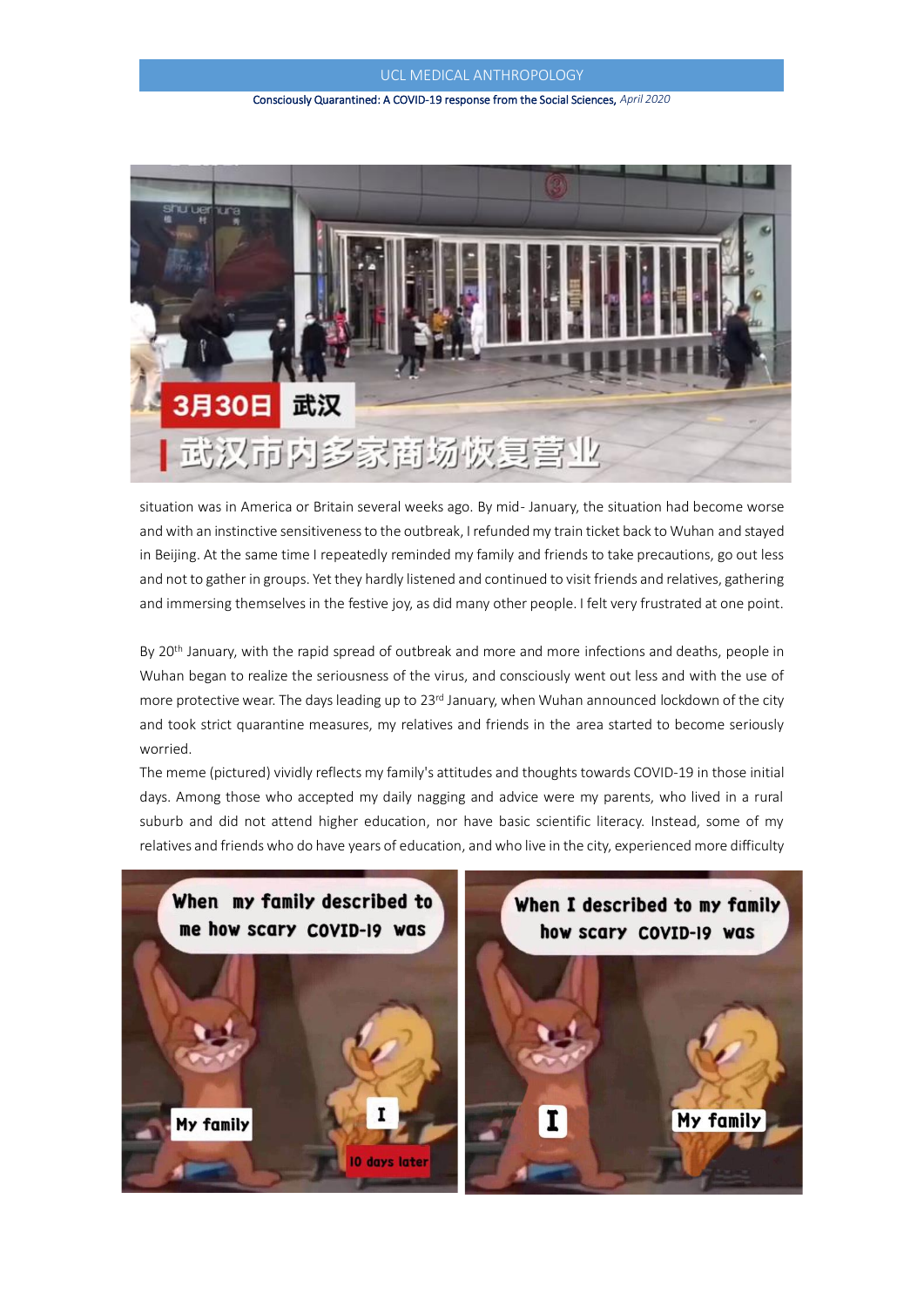#### Consciously Quarantined: A COVID-19 response from the Social Sciences, *April 2020*



situation was in America or Britain several weeks ago. By mid- January, the situation had become worse and with an instinctive sensitiveness to the outbreak, I refunded my train ticket back to Wuhan and stayed in Beijing. At the same time I repeatedly reminded my family and friends to take precautions, go out less and not to gather in groups. Yet they hardly listened and continued to visit friends and relatives, gathering and immersing themselves in the festive joy, as did many other people. I felt very frustrated at one point.

By 20<sup>th</sup> January, with the rapid spread of outbreak and more and more infections and deaths, people in Wuhan began to realize the seriousness of the virus, and consciously went out less and with the use of more protective wear. The days leading up to 23rd January, when Wuhan announced lockdown of the city and took strict quarantine measures, my relatives and friends in the area started to become seriously worried.

The meme (pictured) vividly reflects my family's attitudes and thoughts towards COVID-19 in those initial days. Among those who accepted my daily nagging and advice were my parents, who lived in a rural suburb and did not attend higher education, nor have basic scientific literacy. Instead, some of my relatives and friends who do have years of education, and who live in the city, experienced more difficulty

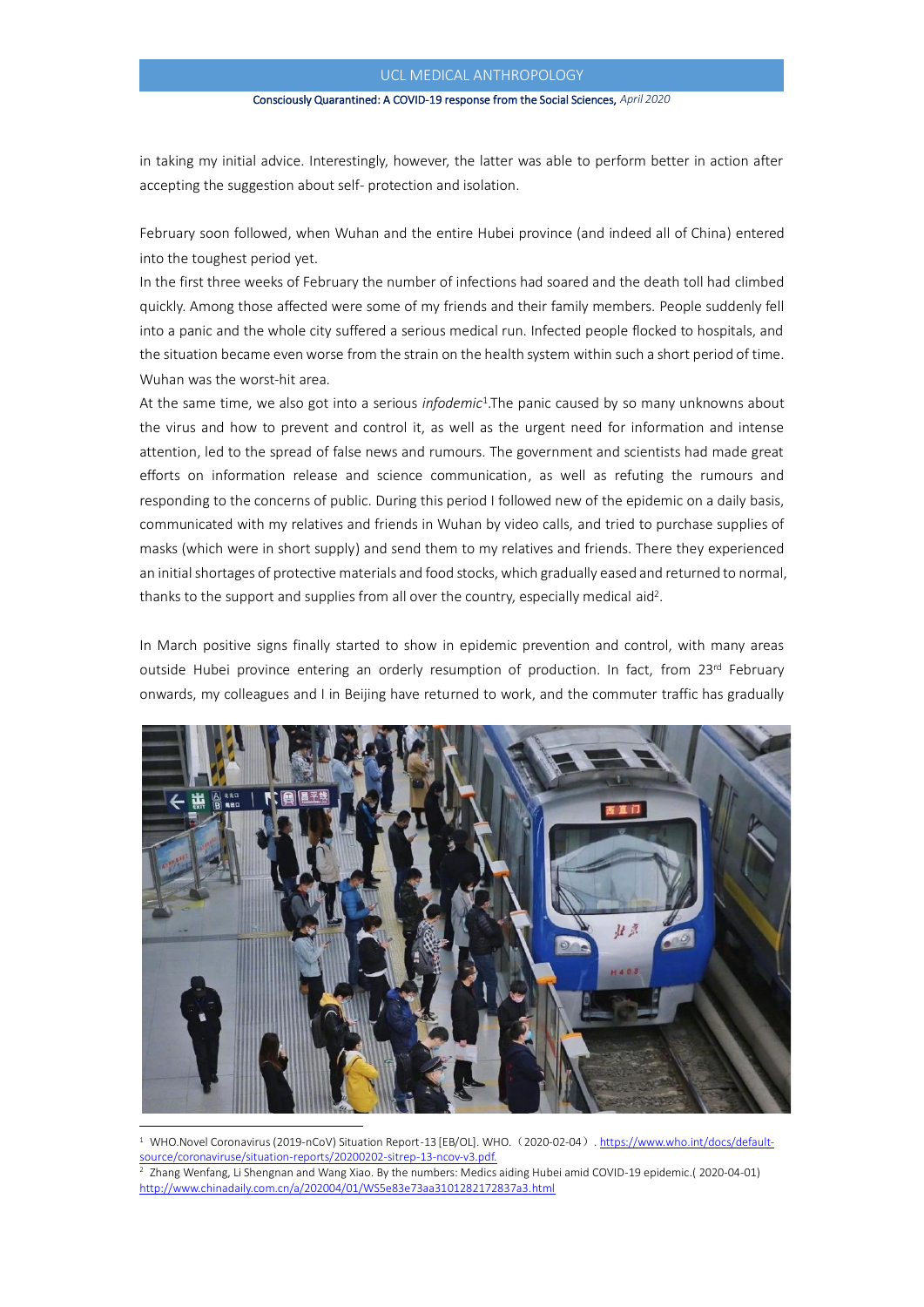#### Consciously Quarantined: A COVID-19 response from the Social Sciences, *April 2020*

in taking my initial advice. Interestingly, however, the latter was able to perform better in action after accepting the suggestion about self- protection and isolation.

February soon followed, when Wuhan and the entire Hubei province (and indeed all of China) entered into the toughest period yet.

In the first three weeks of February the number of infections had soared and the death toll had climbed quickly. Among those affected were some of my friends and their family members. People suddenly fell into a panic and the whole city suffered a serious medical run. Infected people flocked to hospitals, and the situation became even worse from the strain on the health system within such a short period of time. Wuhan was the worst-hit area.

At the same time, we also got into a serious *infodemic*<sup>1</sup> .The panic caused by so many unknowns about the virus and how to prevent and control it, as well as the urgent need for information and intense attention, led to the spread of false news and rumours. The government and scientists had made great efforts on information release and science communication, as well as refuting the rumours and responding to the concerns of public. During this period I followed new of the epidemic on a daily basis, communicated with my relatives and friends in Wuhan by video calls, and tried to purchase supplies of masks (which were in short supply) and send them to my relatives and friends. There they experienced an initial shortages of protective materials and food stocks, which gradually eased and returned to normal, thanks to the support and supplies from all over the country, especially medical aid<sup>2</sup>.

In March positive signs finally started to show in epidemic prevention and control, with many areas outside Hubei province entering an orderly resumption of production. In fact, from 23<sup>rd</sup> February onwards, my colleagues and I in Beijing have returned to work, and the commuter traffic has gradually



<sup>&</sup>lt;sup>1</sup> WHO.Novel Coronavirus (2019-nCoV) Situation Report-13 [EB/OL]. WHO. (2020-02-04). [https://www.who.int/docs/default](https://www.who.int/docs/default-source/coronaviruse/situation-reports/20200202-sitrep-13-ncov-v3.pdf)[source/coronaviruse/situation-reports/20200202-sitrep-13-ncov-v3.pdf.](https://www.who.int/docs/default-source/coronaviruse/situation-reports/20200202-sitrep-13-ncov-v3.pdf)

<sup>2</sup> Zhang Wenfang, Li Shengnan and Wang Xiao. By the numbers: Medics aiding Hubei amid COVID-19 epidemic.( 2020-04-01) <http://www.chinadaily.com.cn/a/202004/01/WS5e83e73aa3101282172837a3.html>